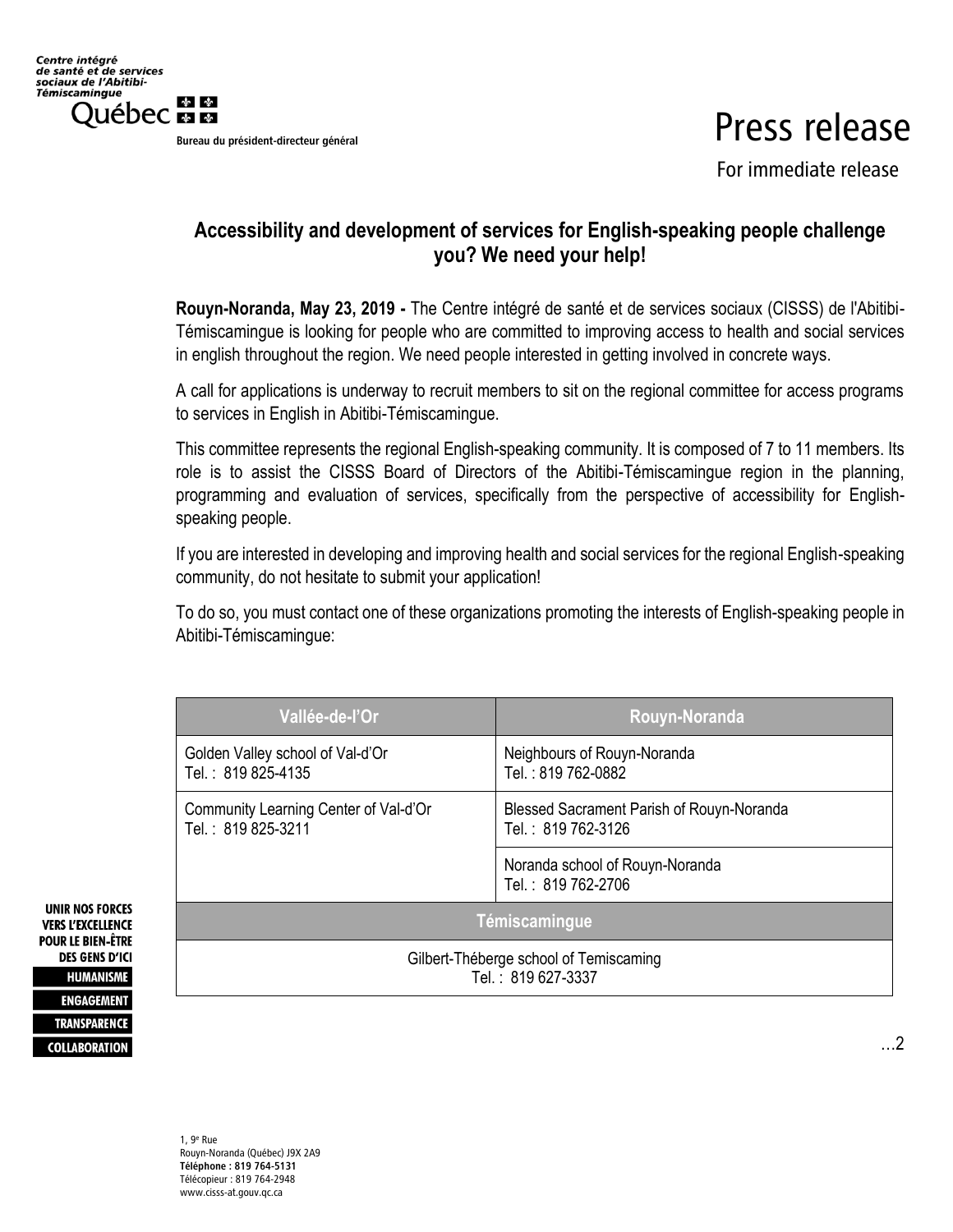Bureau du président-directeur général

## Press release

For immediate release

## **Accessibility and development of services for English-speaking people challenge you? We need your help!**

**Rouyn-Noranda, May 23, 2019 -** The Centre intégré de santé et de services sociaux (CISSS) de l'Abitibi-Témiscamingue is looking for people who are committed to improving access to health and social services in english throughout the region. We need people interested in getting involved in concrete ways.

A call for applications is underway to recruit members to sit on the regional committee for access programs to services in English in Abitibi-Témiscamingue.

This committee represents the regional English-speaking community. It is composed of 7 to 11 members. Its role is to assist the CISSS Board of Directors of the Abitibi-Témiscamingue region in the planning, programming and evaluation of services, specifically from the perspective of accessibility for Englishspeaking people.

If you are interested in developing and improving health and social services for the regional English-speaking community, do not hesitate to submit your application!

To do so, you must contact one of these organizations promoting the interests of English-speaking people in Abitibi-Témiscamingue:

| Vallée-de-l'Or                                               | Rouyn-Noranda                                                   |
|--------------------------------------------------------------|-----------------------------------------------------------------|
| Golden Valley school of Val-d'Or<br>Tel.: 819 825-4135       | Neighbours of Rouyn-Noranda<br>Tel.: 819 762-0882               |
| Community Learning Center of Val-d'Or<br>Tel.: 819 825-3211  | Blessed Sacrament Parish of Rouyn-Noranda<br>Tel.: 819 762-3126 |
|                                                              | Noranda school of Rouyn-Noranda<br>Tel.: 819 762-2706           |
| Témiscamingue                                                |                                                                 |
| Gilbert-Théberge school of Temiscaming<br>Tel.: 819 627-3337 |                                                                 |
|                                                              |                                                                 |

**UNIR NOS FORCES VERS L'EXCELLENCE POUR LE BIEN-ÊTRE DES GENS D'ICI HUMANISME ENGAGEMENT TRANSPARENCE COLLABORATION**